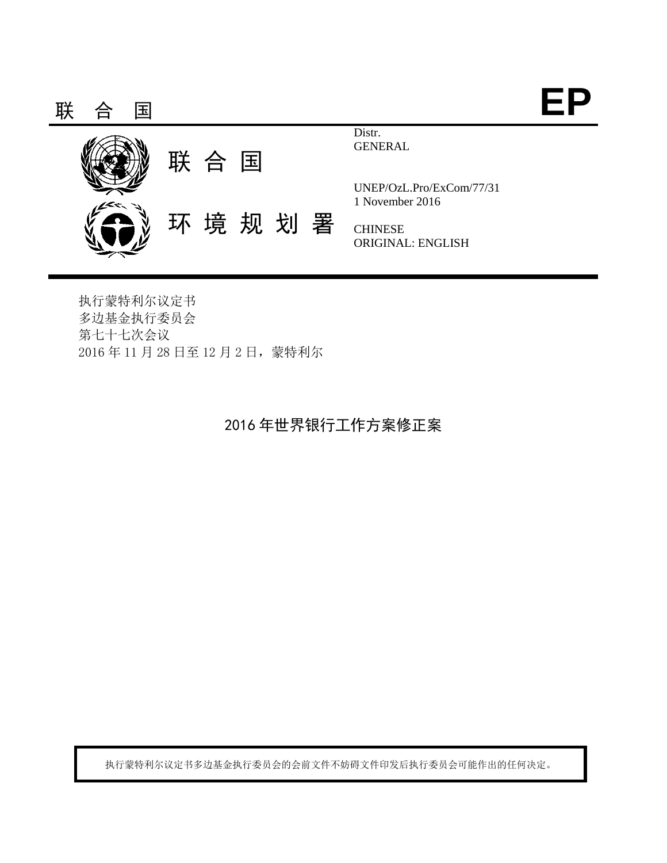

执行蒙特利尔议定书 多边基金执行委员会 第七十七次会议 2016 年 11 月 28 日至 12 月 2 日,蒙特利尔

# 2016 年世界银行工作方案修正案

执行蒙特利尔议定书多边基金执行委员会的会前文件不妨碍文件印发后执行委员会可能作出的任何决定。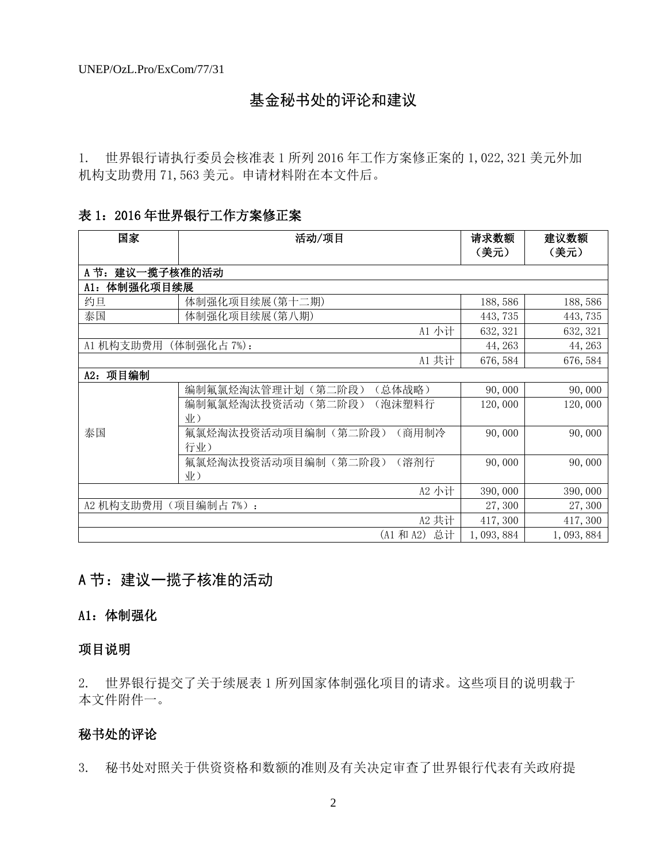# 基金秘书处的评论和建议

1. 世界银行请执行委员会核准表 1 所列 2016 年工作方案修正案的 1,022,321 美元外加 机构支助费用 71,563 美元。申请材料附在本文件后。

## 表 1:2016 年世界银行工作方案修正案

| 国家                      | 活动/项目                             | 请求数额<br>(美元) | 建议数额<br>(美元) |
|-------------------------|-----------------------------------|--------------|--------------|
| 建议一揽子核准的活动<br>A 节:      |                                   |              |              |
| 体制强化项目续展<br>A1:         |                                   |              |              |
| 约旦                      | 体制强化项目续展(第十二期)                    | 188,586      | 188,586      |
| 泰国                      | 体制强化项目续展(第八期)                     | 443,735      | 443,735      |
|                         | A1 小计                             | 632, 321     | 632, 321     |
| A1 机构支助费用               | (体制强化占7%):                        | 44, 263      | 44, 263      |
|                         | A1 共计                             | 676, 584     | 676, 584     |
| 项目编制<br>A2:             |                                   |              |              |
|                         | 编制氟氯烃淘汰管理计划<br>(第二阶段)<br>(总体战略)   | 90,000       | 90,000       |
|                         | 编制氟氯烃淘汰投资活动<br>(泡沫塑料行<br>(第二阶段)   | 120,000      | 120,000      |
|                         | 业)                                |              |              |
| 泰国                      | 氟氯烃淘汰投资活动项目编制(第二阶段)<br>(商用制冷      | 90,000       | 90,000       |
|                         | 行业)                               |              |              |
|                         | 氟氯烃淘汰投资活动项目编制(第二阶段)<br>(溶剂行<br>业) | 90,000       | 90,000       |
|                         | A2 小计                             | 390,000      | 390,000      |
| A2 机构支助费用<br>(项目编制占7%): |                                   |              | 27,300       |
|                         |                                   | 27,300       |              |
|                         | A2 共计<br>总计<br>(A1 和 A2)          | 417,300      | 417,300      |
|                         | 1,093,884                         | 1,093,884    |              |

# A 节: 建议一揽子核准的活动

# A1:体制强化

# 项目说明

2. 世界银行提交了关于续展表 1 所列国家体制强化项目的请求。这些项目的说明载于 本文件附件一。

# 秘书处的评论

3. 秘书处对照关于供资资格和数额的准则及有关决定审查了世界银行代表有关政府提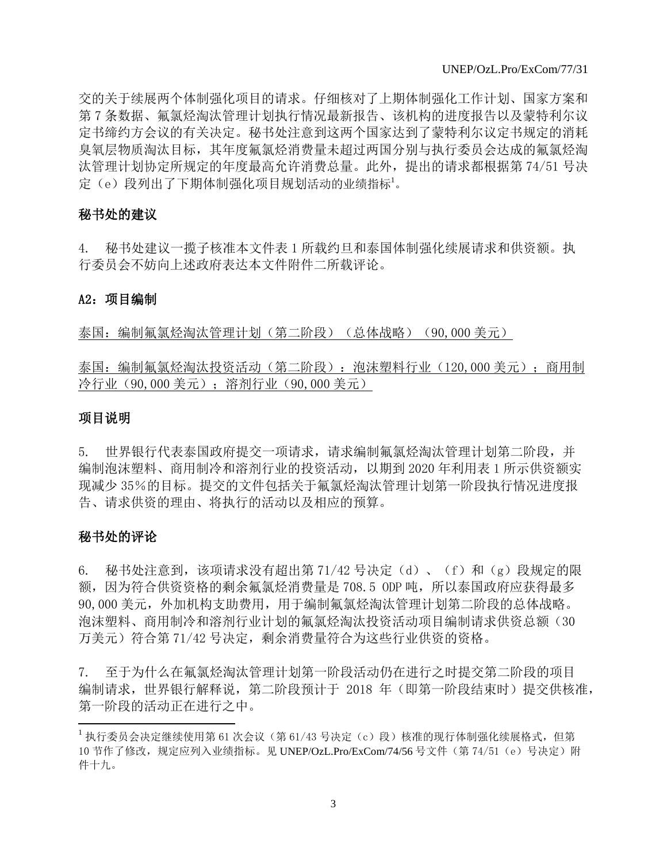交的关于续展两个体制强化项目的请求。仔细核对了上期体制强化工作计划、国家方案和 第 7 条数据、氟氯烃淘汰管理计划执行情况最新报告、该机构的进度报告以及蒙特利尔议 定书缔约方会议的有关决定。秘书处注意到这两个国家达到了蒙特利尔议定书规定的消耗 臭氧层物质淘汰目标,其年度氟氯烃消费量未超过两国分别与执行委员会达成的氟氯烃淘 汰管理计划协定所规定的年度最高允许消费总量。此外,提出的请求都根据第 74/51 号决 定(e)段列出了下期体制强化项目规划活动的业绩指标<sup>1</sup>。

#### 秘书处的建议

4. 秘书处建议一揽子核准本文件表 1 所载约旦和泰国体制强化续展请求和供资额。执 行委员会不妨向上述政府表达本文件附件二所载评论。

#### A2:项目编制

泰国:编制氟氯烃淘汰管理计划(第二阶段)(总体战略)(90,000 美元)

泰国:编制氟氯烃淘汰投资活动(第二阶段):泡沫塑料行业(120,000 美元);商用制 冷行业(90,000 美元);溶剂行业(90,000 美元)

#### 项目说明

5. 世界银行代表泰国政府提交一项请求,请求编制氟氯烃淘汰管理计划第二阶段,并 编制泡沫塑料、商用制冷和溶剂行业的投资活动,以期到 2020 年利用表 1 所示供资额实 现减少 35%的目标。提交的文件包括关于氟氯烃淘汰管理计划第一阶段执行情况进度报 告、请求供资的理由、将执行的活动以及相应的预算。

#### 秘书处的评论

l

6. 秘书处注意到,该项请求没有超出第 71/42 号决定(d)、(f)和(g)段规定的限 额, 因为符合供资资格的剩余氟氯烃消费量是 708.5 ODP 吨, 所以泰国政府应获得最多 90,000 美元,外加机构支助费用,用于编制氟氯烃淘汰管理计划第二阶段的总体战略。 泡沫塑料、商用制冷和溶剂行业计划的氟氯烃淘汰投资活动项目编制请求供资总额(30 万美元)符合第 71/42 号决定,剩余消费量符合为这些行业供资的资格。

7. 至于为什么在氟氯烃淘汰管理计划第一阶段活动仍在进行之时提交第二阶段的项目 编制请求,世界银行解释说,第二阶段预计于 2018 年(即第一阶段结束时)提交供核准, 第一阶段的活动正在进行之中。

<sup>&</sup>lt;sup>1</sup> 执行委员会决定继续使用第 61 次会议(第 61/43 号决定(c)段)核准的现行体制强化续展格式,但第 10 节作了修改,规定应列入业绩指标。见 UNEP/OzL.Pro/ExCom/74/56 号文件(第 74/51 (e)号决定)附 件十九。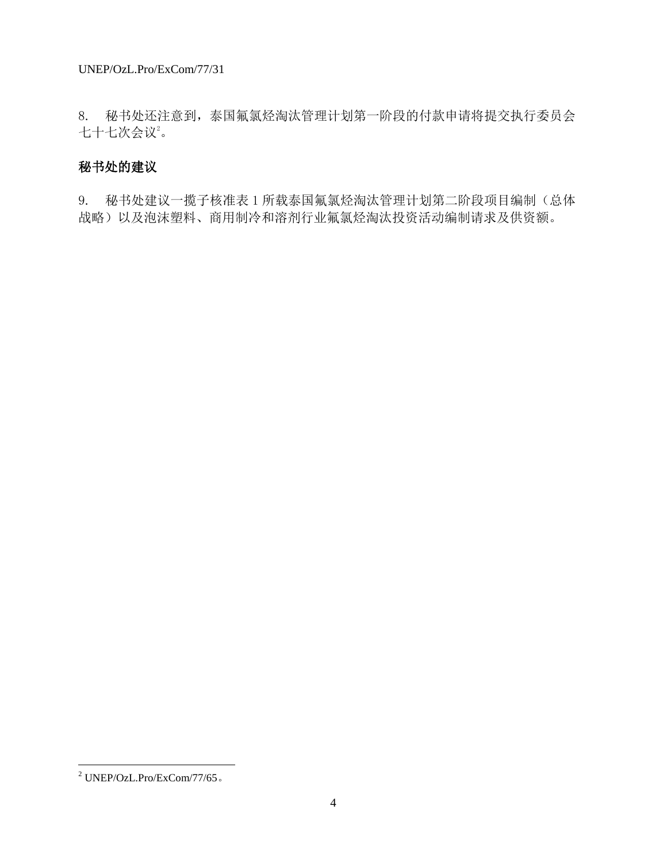8. 秘书处还注意到,泰国氟氯烃淘汰管理计划第一阶段的付款申请将提交执行委员会 七十七次会议。

# 秘书处的建议

9. 秘书处建议一揽子核准表 1 所载泰国氟氯烃淘汰管理计划第二阶段项目编制(总体 战略)以及泡沫塑料、商用制冷和溶剂行业氟氯烃淘汰投资活动编制请求及供资额。

 $\overline{\phantom{a}}$ 

 $^2$  UNEP/OzL.Pro/ExCom/77/65  $\scriptstyle\circ$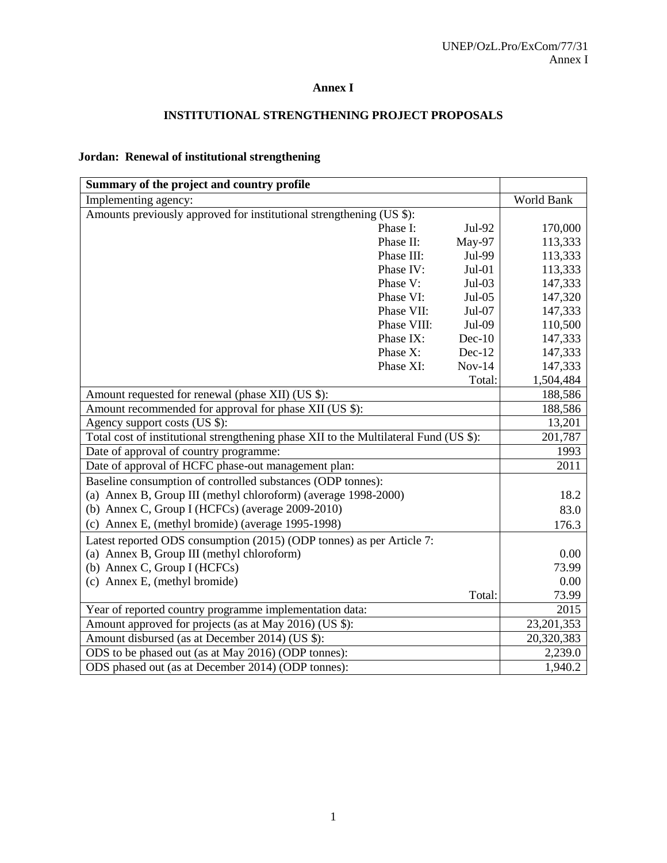#### **Annex I**

## **INSTITUTIONAL STRENGTHENING PROJECT PROPOSALS**

## **Jordan: Renewal of institutional strengthening**

| Summary of the project and country profile                                            |              |          |           |
|---------------------------------------------------------------------------------------|--------------|----------|-----------|
| Implementing agency:                                                                  | World Bank   |          |           |
| Amounts previously approved for institutional strengthening (US \$):                  |              |          |           |
|                                                                                       | Phase I:     | Jul-92   | 170,000   |
|                                                                                       | Phase II:    | May-97   | 113,333   |
|                                                                                       | Phase III:   | Jul-99   | 113,333   |
|                                                                                       | Phase IV:    | $Jul-01$ | 113,333   |
|                                                                                       | Phase V:     | Jul-03   | 147,333   |
|                                                                                       | Phase VI:    | Jul-05   | 147,320   |
|                                                                                       | Phase VII:   | Jul-07   | 147,333   |
|                                                                                       | Phase VIII:  | Jul-09   | 110,500   |
|                                                                                       | Phase IX:    | $Dec-10$ | 147,333   |
|                                                                                       | Phase X:     | Dec-12   | 147,333   |
|                                                                                       | Phase XI:    | $Nov-14$ | 147,333   |
|                                                                                       |              | Total:   | 1,504,484 |
| Amount requested for renewal (phase XII) (US \$):                                     | 188,586      |          |           |
| Amount recommended for approval for phase XII (US \$):                                | 188,586      |          |           |
| Agency support costs (US \$):                                                         | 13,201       |          |           |
| Total cost of institutional strengthening phase XII to the Multilateral Fund (US \$): | 201,787      |          |           |
| Date of approval of country programme:                                                |              |          | 1993      |
| Date of approval of HCFC phase-out management plan:                                   | 2011         |          |           |
| Baseline consumption of controlled substances (ODP tonnes):                           |              |          |           |
| (a) Annex B, Group III (methyl chloroform) (average 1998-2000)                        | 18.2         |          |           |
| (b) Annex C, Group I (HCFCs) (average 2009-2010)                                      |              |          | 83.0      |
| (c) Annex E, (methyl bromide) (average 1995-1998)                                     |              |          | 176.3     |
| Latest reported ODS consumption (2015) (ODP tonnes) as per Article 7:                 |              |          |           |
| (a) Annex B, Group III (methyl chloroform)                                            |              |          | 0.00      |
| (b) Annex C, Group I (HCFCs)                                                          |              |          | 73.99     |
| (c) Annex E, (methyl bromide)                                                         |              |          | 0.00      |
|                                                                                       |              | Total:   | 73.99     |
| Year of reported country programme implementation data:                               | 2015         |          |           |
| Amount approved for projects (as at May 2016) (US \$):                                | 23, 201, 353 |          |           |
| Amount disbursed (as at December 2014) (US \$):                                       | 20,320,383   |          |           |
| ODS to be phased out (as at May 2016) (ODP tonnes):                                   | 2,239.0      |          |           |
| ODS phased out (as at December 2014) (ODP tonnes):                                    | 1,940.2      |          |           |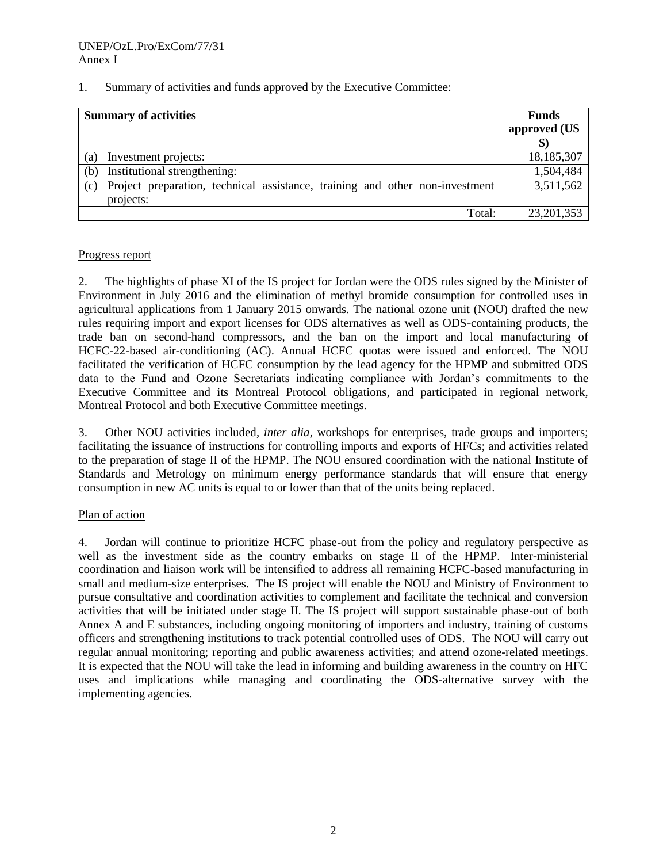#### 1. Summary of activities and funds approved by the Executive Committee:

| <b>Summary of activities</b>                                                                     | <b>Funds</b> |
|--------------------------------------------------------------------------------------------------|--------------|
|                                                                                                  | approved (US |
|                                                                                                  |              |
| Investment projects:<br>(a)                                                                      | 18,185,307   |
| Institutional strengthening:<br>(b)                                                              | 1,504,484    |
| Project preparation, technical assistance, training and other non-investment<br>(c)<br>projects: | 3,511,562    |
| Total:                                                                                           | 23, 201, 353 |

#### Progress report

2. The highlights of phase XI of the IS project for Jordan were the ODS rules signed by the Minister of Environment in July 2016 and the elimination of methyl bromide consumption for controlled uses in agricultural applications from 1 January 2015 onwards. The national ozone unit (NOU) drafted the new rules requiring import and export licenses for ODS alternatives as well as ODS-containing products, the trade ban on second-hand compressors, and the ban on the import and local manufacturing of HCFC-22-based air-conditioning (AC). Annual HCFC quotas were issued and enforced. The NOU facilitated the verification of HCFC consumption by the lead agency for the HPMP and submitted ODS data to the Fund and Ozone Secretariats indicating compliance with Jordan's commitments to the Executive Committee and its Montreal Protocol obligations, and participated in regional network, Montreal Protocol and both Executive Committee meetings.

3. Other NOU activities included, *inter alia*, workshops for enterprises, trade groups and importers; facilitating the issuance of instructions for controlling imports and exports of HFCs; and activities related to the preparation of stage II of the HPMP. The NOU ensured coordination with the national Institute of Standards and Metrology on minimum energy performance standards that will ensure that energy consumption in new AC units is equal to or lower than that of the units being replaced.

#### Plan of action

4. Jordan will continue to prioritize HCFC phase-out from the policy and regulatory perspective as well as the investment side as the country embarks on stage II of the HPMP. Inter-ministerial coordination and liaison work will be intensified to address all remaining HCFC-based manufacturing in small and medium-size enterprises. The IS project will enable the NOU and Ministry of Environment to pursue consultative and coordination activities to complement and facilitate the technical and conversion activities that will be initiated under stage II. The IS project will support sustainable phase-out of both Annex A and E substances, including ongoing monitoring of importers and industry, training of customs officers and strengthening institutions to track potential controlled uses of ODS. The NOU will carry out regular annual monitoring; reporting and public awareness activities; and attend ozone-related meetings. It is expected that the NOU will take the lead in informing and building awareness in the country on HFC uses and implications while managing and coordinating the ODS-alternative survey with the implementing agencies.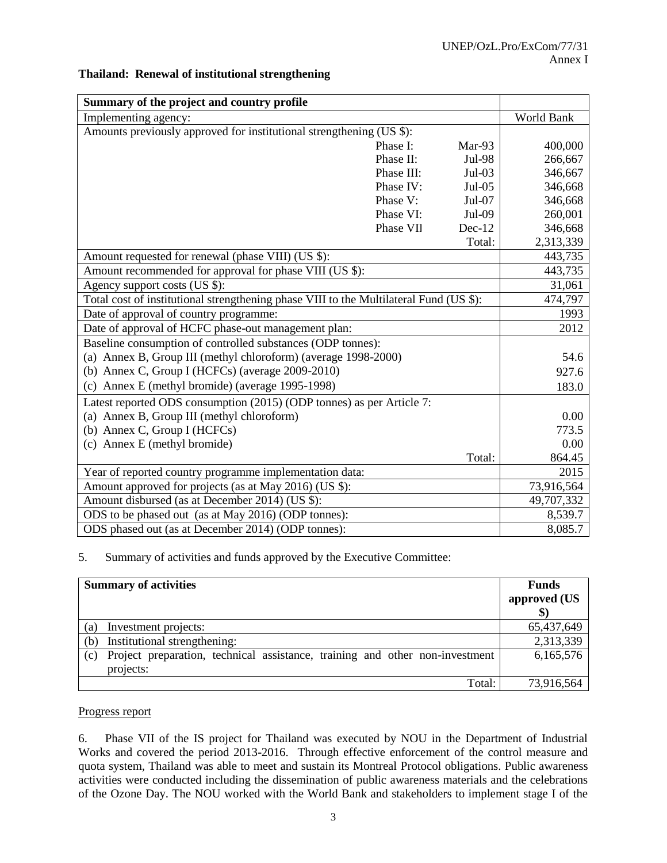#### **Thailand: Renewal of institutional strengthening**

| Summary of the project and country profile                                             |            |          |            |
|----------------------------------------------------------------------------------------|------------|----------|------------|
| Implementing agency:                                                                   | World Bank |          |            |
| Amounts previously approved for institutional strengthening (US \$):                   |            |          |            |
|                                                                                        | Phase I:   | Mar-93   | 400,000    |
|                                                                                        | Phase II:  | Jul-98   | 266,667    |
|                                                                                        | Phase III: | $Jul-03$ | 346,667    |
|                                                                                        | Phase IV:  | Jul-05   | 346,668    |
|                                                                                        | Phase V:   | Jul-07   | 346,668    |
|                                                                                        | Phase VI:  | Jul-09   | 260,001    |
|                                                                                        | Phase VII  | $Dec-12$ | 346,668    |
|                                                                                        |            | Total:   | 2,313,339  |
| Amount requested for renewal (phase VIII) (US \$):                                     |            |          | 443,735    |
| Amount recommended for approval for phase VIII (US \$):                                |            |          | 443,735    |
| Agency support costs (US \$):                                                          |            |          | 31,061     |
| Total cost of institutional strengthening phase VIII to the Multilateral Fund (US \$): |            |          | 474,797    |
| Date of approval of country programme:                                                 | 1993       |          |            |
| Date of approval of HCFC phase-out management plan:                                    | 2012       |          |            |
| Baseline consumption of controlled substances (ODP tonnes):                            |            |          |            |
| (a) Annex B, Group III (methyl chloroform) (average 1998-2000)                         |            |          | 54.6       |
| (b) Annex C, Group I (HCFCs) (average 2009-2010)                                       |            |          | 927.6      |
| (c) Annex E (methyl bromide) (average 1995-1998)                                       |            |          | 183.0      |
| Latest reported ODS consumption (2015) (ODP tonnes) as per Article 7:                  |            |          |            |
| (a) Annex B, Group III (methyl chloroform)                                             |            |          | 0.00       |
| (b) Annex C, Group I (HCFCs)                                                           |            |          | 773.5      |
| (c) Annex E (methyl bromide)                                                           |            |          | 0.00       |
|                                                                                        |            | Total:   | 864.45     |
| Year of reported country programme implementation data:                                | 2015       |          |            |
| Amount approved for projects (as at May 2016) (US \$):                                 |            |          | 73,916,564 |
| Amount disbursed (as at December 2014) (US \$):                                        |            |          | 49,707,332 |
| ODS to be phased out (as at May 2016) (ODP tonnes):                                    |            |          | 8,539.7    |
| ODS phased out (as at December 2014) (ODP tonnes):                                     | 8,085.7    |          |            |

#### 5. Summary of activities and funds approved by the Executive Committee:

| <b>Summary of activities</b>                                                                     | <b>Funds</b> |
|--------------------------------------------------------------------------------------------------|--------------|
|                                                                                                  | approved (US |
|                                                                                                  |              |
| Investment projects:<br>(a)                                                                      | 65,437,649   |
| Institutional strengthening:<br>(b)                                                              | 2,313,339    |
| Project preparation, technical assistance, training and other non-investment<br>(c)<br>projects: | 6,165,576    |
| Total:                                                                                           | 73,916,564   |

#### Progress report

6. Phase VII of the IS project for Thailand was executed by NOU in the Department of Industrial Works and covered the period 2013-2016. Through effective enforcement of the control measure and quota system, Thailand was able to meet and sustain its Montreal Protocol obligations. Public awareness activities were conducted including the dissemination of public awareness materials and the celebrations of the Ozone Day. The NOU worked with the World Bank and stakeholders to implement stage I of the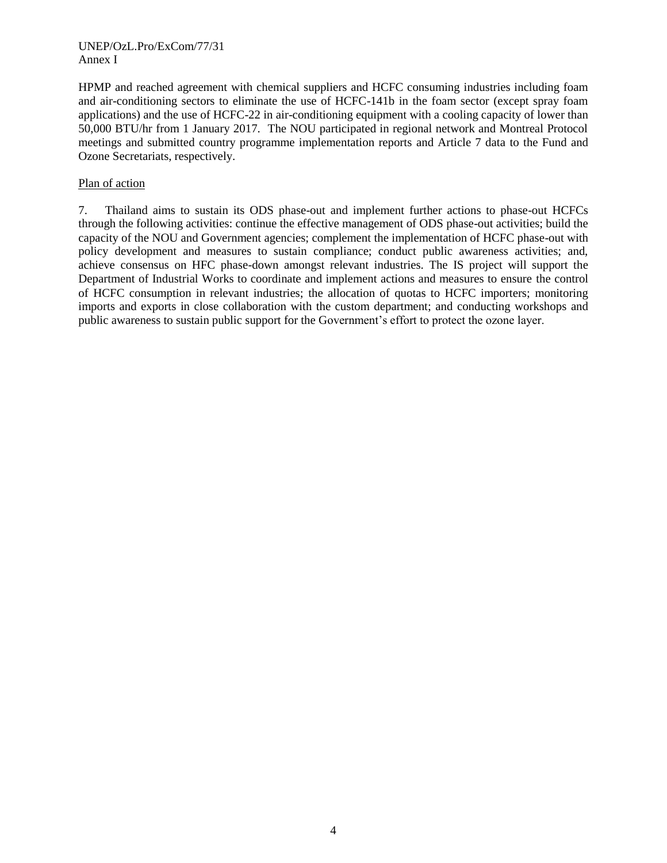#### UNEP/OzL.Pro/ExCom/77/31 Annex I

HPMP and reached agreement with chemical suppliers and HCFC consuming industries including foam and air-conditioning sectors to eliminate the use of HCFC-141b in the foam sector (except spray foam applications) and the use of HCFC-22 in air-conditioning equipment with a cooling capacity of lower than 50,000 BTU/hr from 1 January 2017. The NOU participated in regional network and Montreal Protocol meetings and submitted country programme implementation reports and Article 7 data to the Fund and Ozone Secretariats, respectively.

#### Plan of action

7. Thailand aims to sustain its ODS phase-out and implement further actions to phase-out HCFCs through the following activities: continue the effective management of ODS phase-out activities; build the capacity of the NOU and Government agencies; complement the implementation of HCFC phase-out with policy development and measures to sustain compliance; conduct public awareness activities; and, achieve consensus on HFC phase-down amongst relevant industries. The IS project will support the Department of Industrial Works to coordinate and implement actions and measures to ensure the control of HCFC consumption in relevant industries; the allocation of quotas to HCFC importers; monitoring imports and exports in close collaboration with the custom department; and conducting workshops and public awareness to sustain public support for the Government's effort to protect the ozone layer.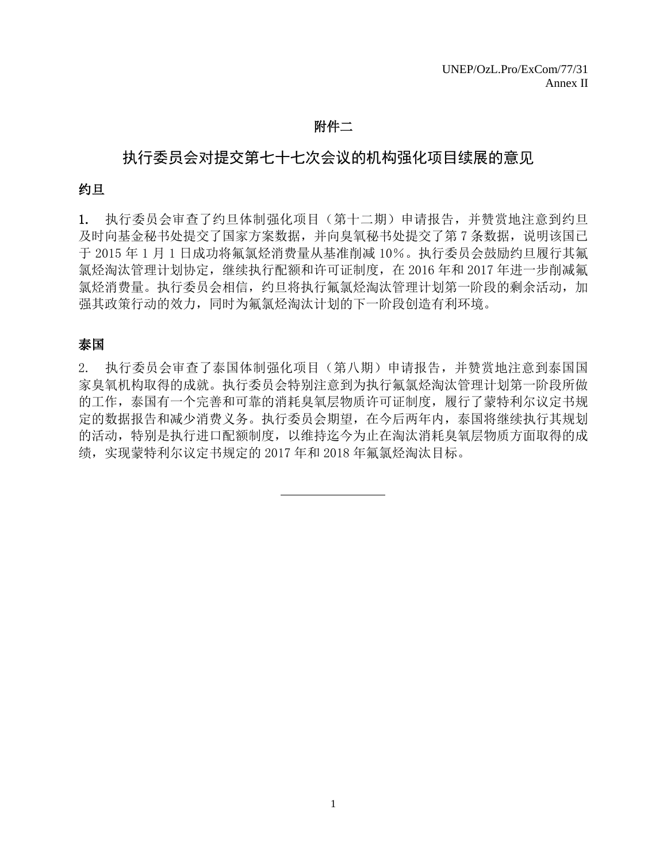## 附件二

# 执行委员会对提交第七十七次会议的机构强化项目续展的意见

#### 约旦

1. 执行委员会审查了约旦体制强化项目(第十二期)申请报告,并赞赏地注意到约旦 及时向基金秘书处提交了国家方案数据,并向臭氧秘书处提交了第7条数据,说明该国已 于 2015 年 1 月 1 日成功将氟氯烃消费量从基准削减 10%。执行委员会鼓励约旦履行其氟 氯烃淘汰管理计划协定,继续执行配额和许可证制度,在 2016 年和 2017 年进一步削减氟 氯烃消费量。执行委员会相信,约旦将执行氟氯烃淘汰管理计划第一阶段的剩余活动,加 强其政策行动的效力,同时为氟氯烃淘汰计划的下一阶段创造有利环境。

## 泰国

2. 执行委员会审查了泰国体制强化项目(第八期)申请报告,并赞赏地注意到泰国国 家臭氧机构取得的成就。执行委员会特别注意到为执行氟氯烃淘汰管理计划第一阶段所做 的工作,泰国有一个完善和可靠的消耗臭氧层物质许可证制度,履行了蒙特利尔议定书规 定的数据报告和减少消费义务。执行委员会期望,在今后两年内,泰国将继续执行其规划 的活动,特别是执行进口配额制度,以维持迄今为止在淘汰消耗臭氧层物质方面取得的成 绩,实现蒙特利尔议定书规定的 2017 年和 2018 年氟氯烃淘汰目标。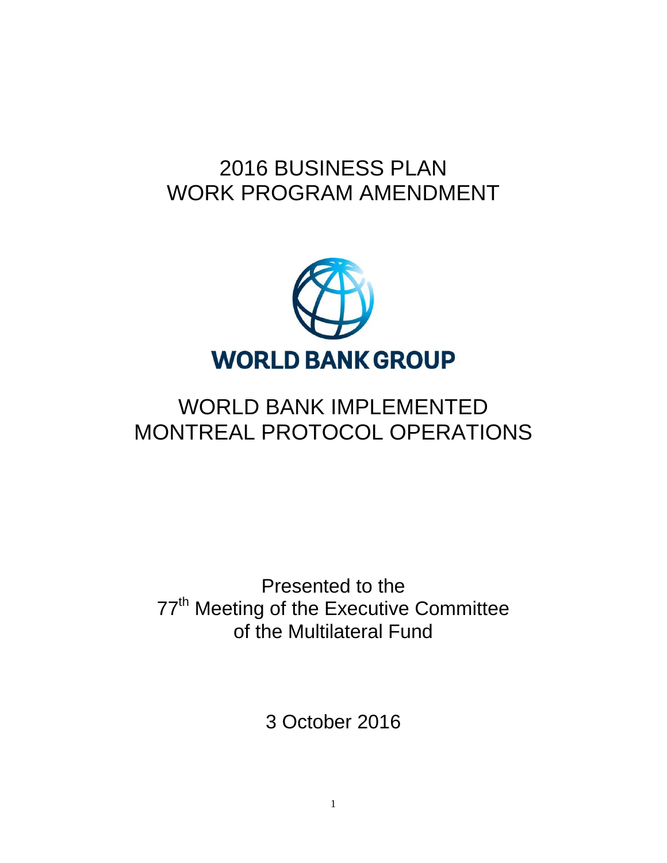# 2016 BUSINESS PLAN WORK PROGRAM AMENDMENT



# WORLD BANK IMPLEMENTED MONTREAL PROTOCOL OPERATIONS

Presented to the 77<sup>th</sup> Meeting of the Executive Committee of the Multilateral Fund

3 October 2016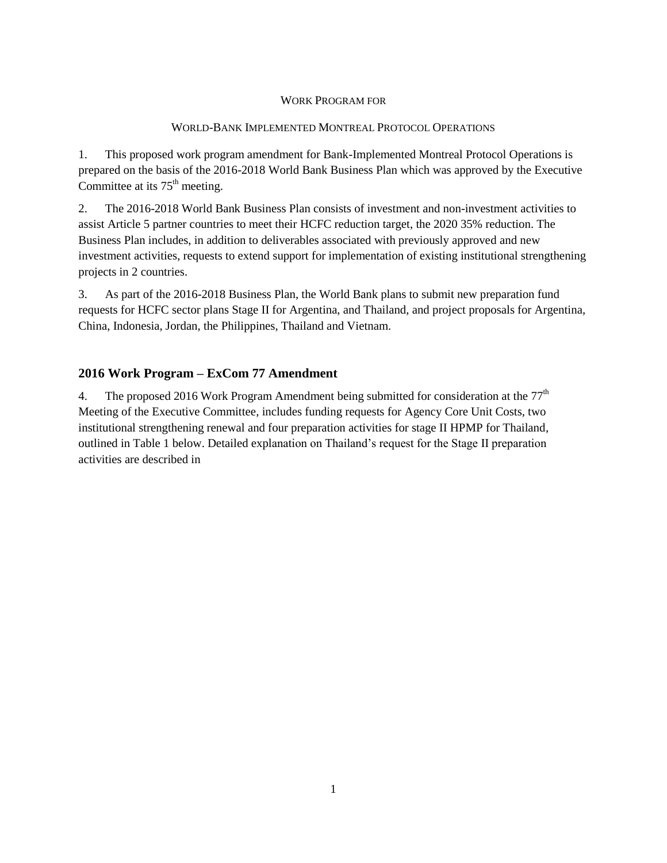#### WORK PROGRAM FOR

#### WORLD-BANK IMPLEMENTED MONTREAL PROTOCOL OPERATIONS

1. This proposed work program amendment for Bank-Implemented Montreal Protocol Operations is prepared on the basis of the 2016-2018 World Bank Business Plan which was approved by the Executive Committee at its  $75<sup>th</sup>$  meeting.

2. The 2016-2018 World Bank Business Plan consists of investment and non-investment activities to assist Article 5 partner countries to meet their HCFC reduction target, the 2020 35% reduction. The Business Plan includes, in addition to deliverables associated with previously approved and new investment activities, requests to extend support for implementation of existing institutional strengthening projects in 2 countries.

3. As part of the 2016-2018 Business Plan, the World Bank plans to submit new preparation fund requests for HCFC sector plans Stage II for Argentina, and Thailand, and project proposals for Argentina, China, Indonesia, Jordan, the Philippines, Thailand and Vietnam.

### **2016 Work Program – ExCom 77 Amendment**

4. The proposed 2016 Work Program Amendment being submitted for consideration at the  $77<sup>th</sup>$ Meeting of the Executive Committee, includes funding requests for Agency Core Unit Costs, two institutional strengthening renewal and four preparation activities for stage II HPMP for Thailand, outlined in Table 1 below. Detailed explanation on Thailand's request for the Stage II preparation activities are described in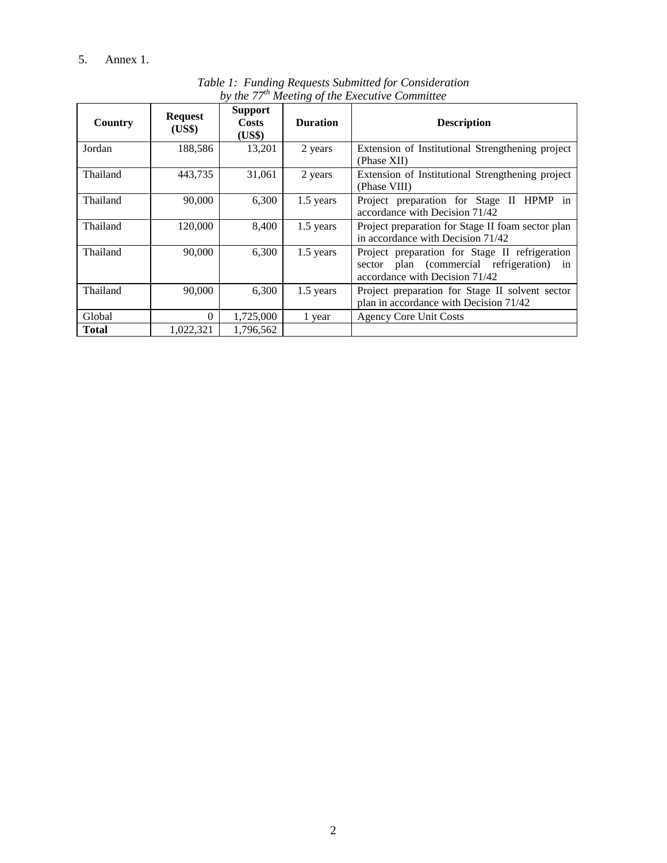## 5. [Annex](#page-13-0) 1.

<span id="page-13-0"></span>

| Country      | <b>Request</b><br>(US\$) | <b>Support</b><br><b>Costs</b><br>(US\$) | <b>Duration</b> | <b>Description</b>                                                                                                            |
|--------------|--------------------------|------------------------------------------|-----------------|-------------------------------------------------------------------------------------------------------------------------------|
| Jordan       | 188,586                  | 13,201                                   | 2 years         | Extension of Institutional Strengthening project<br>(Phase XII)                                                               |
| Thailand     | 443,735                  | 31,061                                   | 2 years         | Extension of Institutional Strengthening project<br>(Phase VIII)                                                              |
| Thailand     | 90,000                   | 6,300                                    | 1.5 years       | Project preparation for Stage II HPMP in<br>accordance with Decision 71/42                                                    |
| Thailand     | 120,000                  | 8,400                                    | 1.5 years       | Project preparation for Stage II foam sector plan<br>in accordance with Decision 71/42                                        |
| Thailand     | 90,000                   | 6,300                                    | 1.5 years       | Project preparation for Stage II refrigeration<br>sector plan (commercial refrigeration) in<br>accordance with Decision 71/42 |
| Thailand     | 90,000                   | 6,300                                    | 1.5 years       | Project preparation for Stage II solvent sector<br>plan in accordance with Decision 71/42                                     |
| Global       | $\Omega$                 | 1,725,000                                | 1 year          | <b>Agency Core Unit Costs</b>                                                                                                 |
| <b>Total</b> | 1,022,321                | 1,796,562                                |                 |                                                                                                                               |

*Table 1: Funding Requests Submitted for Consideration by the 77th Meeting of the Executive Committee*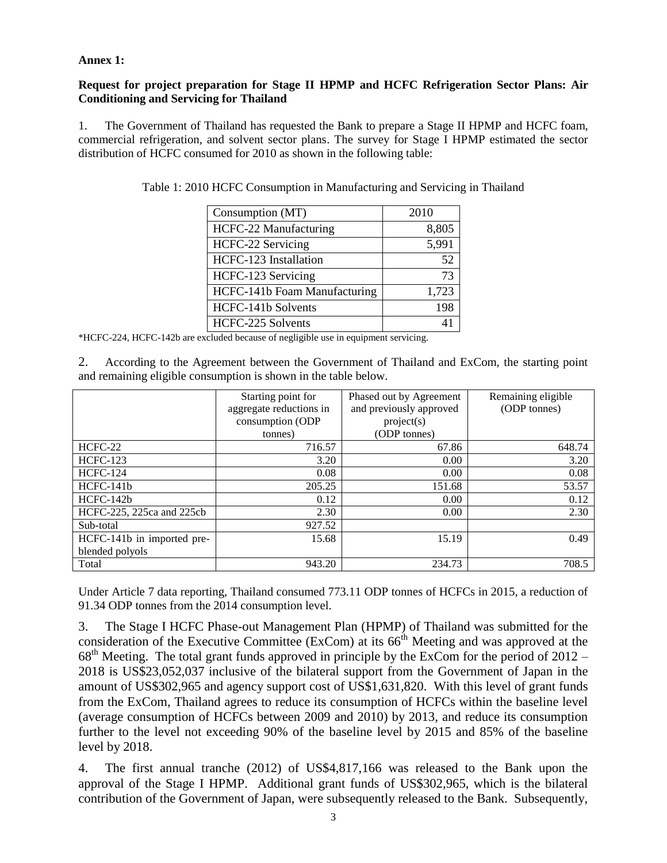#### **Annex 1:**

#### **Request for project preparation for Stage II HPMP and HCFC Refrigeration Sector Plans: Air Conditioning and Servicing for Thailand**

1. The Government of Thailand has requested the Bank to prepare a Stage II HPMP and HCFC foam, commercial refrigeration, and solvent sector plans. The survey for Stage I HPMP estimated the sector distribution of HCFC consumed for 2010 as shown in the following table:

| Consumption (MT)                    | 2010  |
|-------------------------------------|-------|
| HCFC-22 Manufacturing               | 8,805 |
| HCFC-22 Servicing                   | 5,991 |
| HCFC-123 Installation               | 52    |
| HCFC-123 Servicing                  | 73    |
| <b>HCFC-141b Foam Manufacturing</b> | 1,723 |
| HCFC-141b Solvents                  | 198   |
| HCFC-225 Solvents                   |       |

| Table 1: 2010 HCFC Consumption in Manufacturing and Servicing in Thailand |  |  |  |
|---------------------------------------------------------------------------|--|--|--|

\*HCFC-224, HCFC-142b are excluded because of negligible use in equipment servicing.

2. According to the Agreement between the Government of Thailand and ExCom, the starting point and remaining eligible consumption is shown in the table below.

|                            | Starting point for<br>aggregate reductions in | Phased out by Agreement<br>and previously approved | Remaining eligible<br>(ODP tonnes) |
|----------------------------|-----------------------------------------------|----------------------------------------------------|------------------------------------|
|                            | consumption (ODP                              | project(s)                                         |                                    |
|                            | tonnes)                                       | (ODP tonnes)                                       |                                    |
| HCFC-22                    | 716.57                                        | 67.86                                              | 648.74                             |
| <b>HCFC-123</b>            | 3.20                                          | 0.00                                               | 3.20                               |
| <b>HCFC-124</b>            | 0.08                                          | 0.00                                               | 0.08                               |
| HCFC-141b                  | 205.25                                        | 151.68                                             | 53.57                              |
| $HCFC-142b$                | 0.12                                          | 0.00                                               | 0.12                               |
| HCFC-225, 225ca and 225cb  | 2.30                                          | 0.00                                               | 2.30                               |
| Sub-total                  | 927.52                                        |                                                    |                                    |
| HCFC-141b in imported pre- | 15.68                                         | 15.19                                              | 0.49                               |
| blended polyols            |                                               |                                                    |                                    |
| Total                      | 943.20                                        | 234.73                                             | 708.5                              |

Under Article 7 data reporting, Thailand consumed 773.11 ODP tonnes of HCFCs in 2015, a reduction of 91.34 ODP tonnes from the 2014 consumption level.

3. The Stage I HCFC Phase-out Management Plan (HPMP) of Thailand was submitted for the consideration of the Executive Committee (ExCom) at its  $66<sup>th</sup>$  Meeting and was approved at the  $68<sup>th</sup>$  Meeting. The total grant funds approved in principle by the ExCom for the period of 2012 – 2018 is US\$23,052,037 inclusive of the bilateral support from the Government of Japan in the amount of US\$302,965 and agency support cost of US\$1,631,820. With this level of grant funds from the ExCom, Thailand agrees to reduce its consumption of HCFCs within the baseline level (average consumption of HCFCs between 2009 and 2010) by 2013, and reduce its consumption further to the level not exceeding 90% of the baseline level by 2015 and 85% of the baseline level by 2018.

4. The first annual tranche (2012) of US\$4,817,166 was released to the Bank upon the approval of the Stage I HPMP. Additional grant funds of US\$302,965, which is the bilateral contribution of the Government of Japan, were subsequently released to the Bank. Subsequently,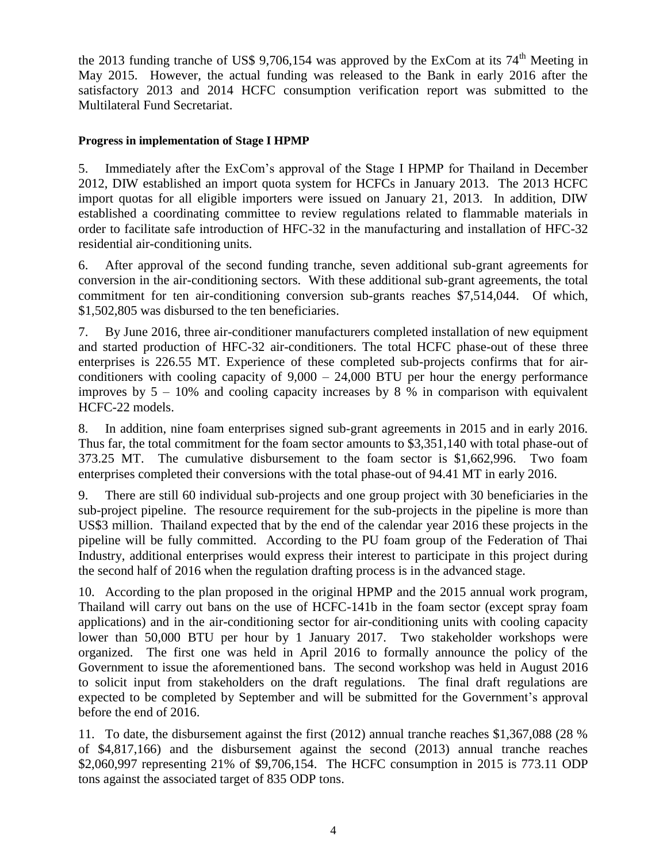the 2013 funding tranche of US\$ 9,706,154 was approved by the ExCom at its  $74<sup>th</sup>$  Meeting in May 2015. However, the actual funding was released to the Bank in early 2016 after the satisfactory 2013 and 2014 HCFC consumption verification report was submitted to the Multilateral Fund Secretariat.

### **Progress in implementation of Stage I HPMP**

5. Immediately after the ExCom's approval of the Stage I HPMP for Thailand in December 2012, DIW established an import quota system for HCFCs in January 2013. The 2013 HCFC import quotas for all eligible importers were issued on January 21, 2013. In addition, DIW established a coordinating committee to review regulations related to flammable materials in order to facilitate safe introduction of HFC-32 in the manufacturing and installation of HFC-32 residential air-conditioning units.

6. After approval of the second funding tranche, seven additional sub-grant agreements for conversion in the air-conditioning sectors. With these additional sub-grant agreements, the total commitment for ten air-conditioning conversion sub-grants reaches \$7,514,044. Of which, \$1,502,805 was disbursed to the ten beneficiaries.

7. By June 2016, three air-conditioner manufacturers completed installation of new equipment and started production of HFC-32 air-conditioners. The total HCFC phase-out of these three enterprises is 226.55 MT. Experience of these completed sub-projects confirms that for airconditioners with cooling capacity of  $9,000 - 24,000$  BTU per hour the energy performance improves by  $5 - 10\%$  and cooling capacity increases by 8 % in comparison with equivalent HCFC-22 models.

8. In addition, nine foam enterprises signed sub-grant agreements in 2015 and in early 2016. Thus far, the total commitment for the foam sector amounts to \$3,351,140 with total phase-out of 373.25 MT. The cumulative disbursement to the foam sector is \$1,662,996. Two foam enterprises completed their conversions with the total phase-out of 94.41 MT in early 2016.

9. There are still 60 individual sub-projects and one group project with 30 beneficiaries in the sub-project pipeline. The resource requirement for the sub-projects in the pipeline is more than US\$3 million. Thailand expected that by the end of the calendar year 2016 these projects in the pipeline will be fully committed. According to the PU foam group of the Federation of Thai Industry, additional enterprises would express their interest to participate in this project during the second half of 2016 when the regulation drafting process is in the advanced stage.

10. According to the plan proposed in the original HPMP and the 2015 annual work program, Thailand will carry out bans on the use of HCFC-141b in the foam sector (except spray foam applications) and in the air-conditioning sector for air-conditioning units with cooling capacity lower than 50,000 BTU per hour by 1 January 2017. Two stakeholder workshops were organized. The first one was held in April 2016 to formally announce the policy of the Government to issue the aforementioned bans. The second workshop was held in August 2016 to solicit input from stakeholders on the draft regulations. The final draft regulations are expected to be completed by September and will be submitted for the Government's approval before the end of 2016.

11. To date, the disbursement against the first (2012) annual tranche reaches \$1,367,088 (28 % of \$4,817,166) and the disbursement against the second (2013) annual tranche reaches \$2,060,997 representing 21% of \$9,706,154. The HCFC consumption in 2015 is 773.11 ODP tons against the associated target of 835 ODP tons.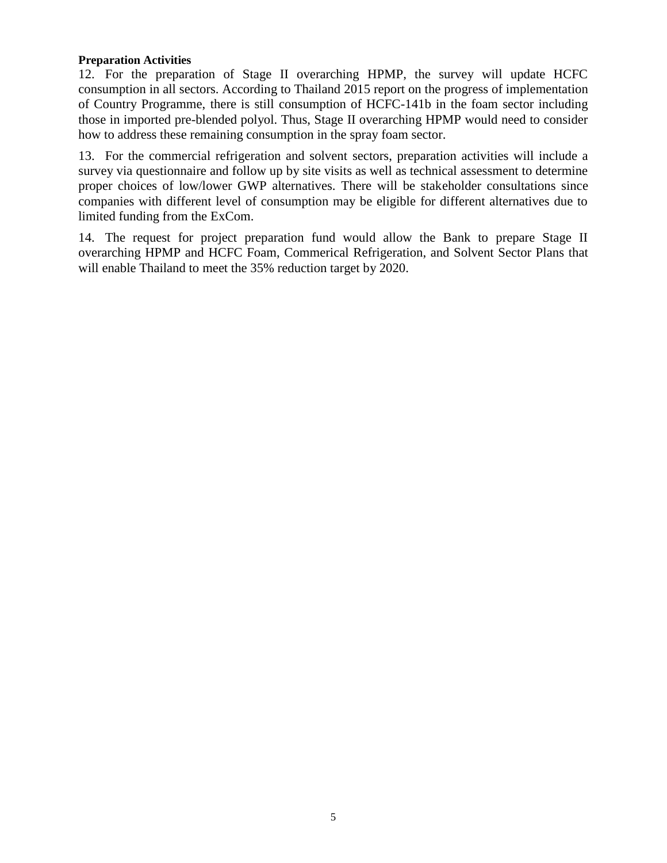## **Preparation Activities**

12. For the preparation of Stage II overarching HPMP, the survey will update HCFC consumption in all sectors. According to Thailand 2015 report on the progress of implementation of Country Programme, there is still consumption of HCFC-141b in the foam sector including those in imported pre-blended polyol. Thus, Stage II overarching HPMP would need to consider how to address these remaining consumption in the spray foam sector.

13. For the commercial refrigeration and solvent sectors, preparation activities will include a survey via questionnaire and follow up by site visits as well as technical assessment to determine proper choices of low/lower GWP alternatives. There will be stakeholder consultations since companies with different level of consumption may be eligible for different alternatives due to limited funding from the ExCom.

14. The request for project preparation fund would allow the Bank to prepare Stage II overarching HPMP and HCFC Foam, Commerical Refrigeration, and Solvent Sector Plans that will enable Thailand to meet the 35% reduction target by 2020.